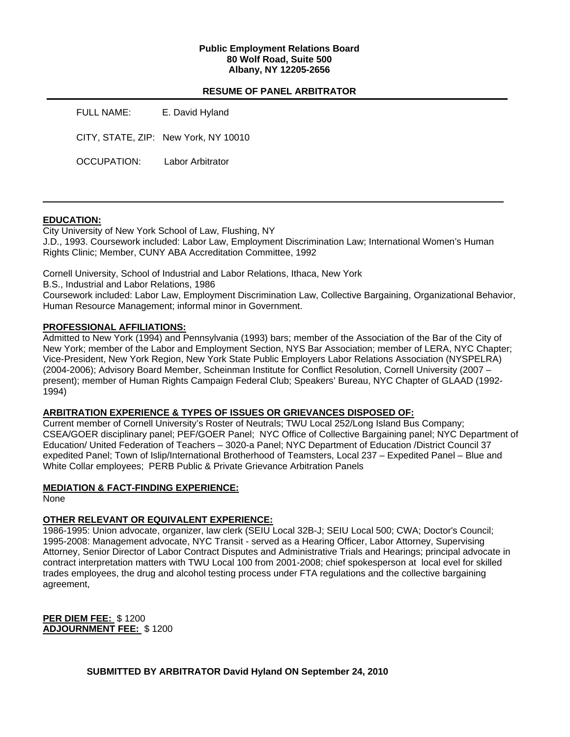## **Public Employment Relations Board 80 Wolf Road, Suite 500 Albany, NY 12205-2656**

#### **RESUME OF PANEL ARBITRATOR**

| FULL NAME:  | E. David Hyland                      |
|-------------|--------------------------------------|
|             | CITY, STATE, ZIP: New York, NY 10010 |
| OCCUPATION: | Labor Arbitrator                     |

# **EDUCATION:**

City University of New York School of Law, Flushing, NY J.D., 1993. Coursework included: Labor Law, Employment Discrimination Law; International Women's Human Rights Clinic; Member, CUNY ABA Accreditation Committee, 1992

Cornell University, School of Industrial and Labor Relations, Ithaca, New York B.S., Industrial and Labor Relations, 1986 Coursework included: Labor Law, Employment Discrimination Law, Collective Bargaining, Organizational Behavior, Human Resource Management; informal minor in Government.

## **PROFESSIONAL AFFILIATIONS:**

Admitted to New York (1994) and Pennsylvania (1993) bars; member of the Association of the Bar of the City of New York; member of the Labor and Employment Section, NYS Bar Association; member of LERA, NYC Chapter; Vice-President, New York Region, New York State Public Employers Labor Relations Association (NYSPELRA) (2004-2006); Advisory Board Member, Scheinman Institute for Conflict Resolution, Cornell University (2007 – present); member of Human Rights Campaign Federal Club; Speakers' Bureau, NYC Chapter of GLAAD (1992- 1994)

## **ARBITRATION EXPERIENCE & TYPES OF ISSUES OR GRIEVANCES DISPOSED OF:**

Current member of Cornell University's Roster of Neutrals; TWU Local 252/Long Island Bus Company; CSEA/GOER disciplinary panel; PEF/GOER Panel; NYC Office of Collective Bargaining panel; NYC Department of Education/ United Federation of Teachers – 3020-a Panel; NYC Department of Education /District Council 37 expedited Panel; Town of Islip/International Brotherhood of Teamsters, Local 237 – Expedited Panel – Blue and White Collar employees; PERB Public & Private Grievance Arbitration Panels

## **MEDIATION & FACT-FINDING EXPERIENCE:**

None

## **OTHER RELEVANT OR EQUIVALENT EXPERIENCE:**

1986-1995: Union advocate, organizer, law clerk (SEIU Local 32B-J; SEIU Local 500; CWA; Doctor's Council; 1995-2008: Management advocate, NYC Transit - served as a Hearing Officer, Labor Attorney, Supervising Attorney, Senior Director of Labor Contract Disputes and Administrative Trials and Hearings; principal advocate in contract interpretation matters with TWU Local 100 from 2001-2008; chief spokesperson at local evel for skilled trades employees, the drug and alcohol testing process under FTA regulations and the collective bargaining agreement,

**PER DIEM FEE:** \$ 1200 **ADJOURNMENT FEE:** \$ 1200

**SUBMITTED BY ARBITRATOR David Hyland ON September 24, 2010**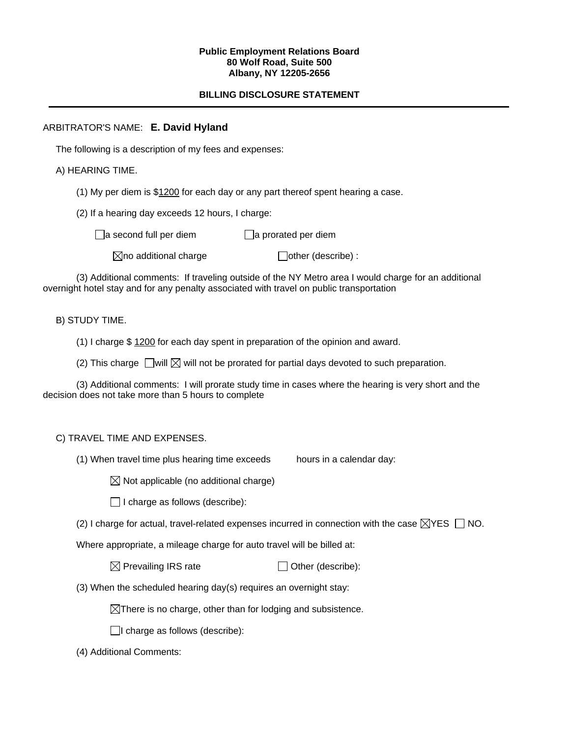#### **Public Employment Relations Board 80 Wolf Road, Suite 500 Albany, NY 12205-2656**

# **BILLING DISCLOSURE STATEMENT**

# ARBITRATOR'S NAME: **E. David Hyland**

The following is a description of my fees and expenses:

A) HEARING TIME.

(1) My per diem is \$1200 for each day or any part thereof spent hearing a case.

(2) If a hearing day exceeds 12 hours, I charge:

 $\Box$ a second full per diem  $\Box$ a prorated per diem

 $\boxtimes$ no additional charge  $\Box$ other (describe) :

(3) Additional comments: If traveling outside of the NY Metro area I would charge for an additional overnight hotel stay and for any penalty associated with travel on public transportation

# B) STUDY TIME.

(1) I charge \$ 1200 for each day spent in preparation of the opinion and award.

(2) This charge  $\Box$  will  $\boxtimes$  will not be prorated for partial days devoted to such preparation.

(3) Additional comments: I will prorate study time in cases where the hearing is very short and the decision does not take more than 5 hours to complete

C) TRAVEL TIME AND EXPENSES.

(1) When travel time plus hearing time exceeds hours in a calendar day:

 $\boxtimes$  Not applicable (no additional charge)

 $\Box$  I charge as follows (describe):

(2) I charge for actual, travel-related expenses incurred in connection with the case  $\boxtimes$ YES  $\Box$  NO.

Where appropriate, a mileage charge for auto travel will be billed at:

 $\boxtimes$  Prevailing IRS rate  $\Box$  Other (describe):

(3) When the scheduled hearing day(s) requires an overnight stay:

 $\boxtimes$ There is no charge, other than for lodging and subsistence.

 $\Box$ I charge as follows (describe):

(4) Additional Comments: